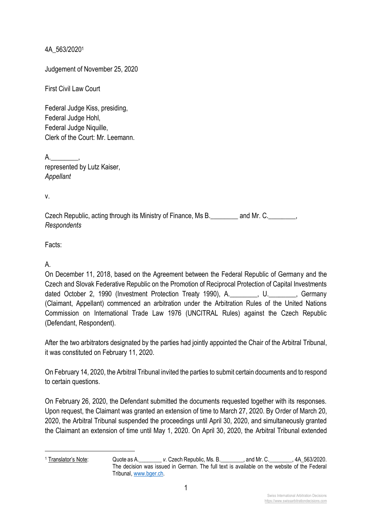4A\_563/2020<sup>1</sup>

Judgement of November 25, 2020

First Civil Law Court

Federal Judge Kiss, presiding, Federal Judge Hohl, Federal Judge Niquille, Clerk of the Court: Mr. Leemann.

 $A.$ represented by Lutz Kaiser, *Appellant* 

v.

| Czech Republic, acting through its Ministry of Finance, Ms B. | and Mr. C. |  |
|---------------------------------------------------------------|------------|--|
| Respondents                                                   |            |  |

Facts:

A.

On December 11, 2018, based on the Agreement between the Federal Republic of Germany and the Czech and Slovak Federative Republic on the Promotion of Reciprocal Protection of Capital Investments dated October 2, 1990 (Investment Protection Treaty 1990), A.\_\_\_\_\_\_\_\_, U.\_\_\_\_\_\_\_\_, Germany (Claimant, Appellant) commenced an arbitration under the Arbitration Rules of the United Nations Commission on International Trade Law 1976 (UNCITRAL Rules) against the Czech Republic (Defendant, Respondent).

After the two arbitrators designated by the parties had jointly appointed the Chair of the Arbitral Tribunal, it was constituted on February 11, 2020.

On February 14, 2020, the Arbitral Tribunal invited the parties to submit certain documents and to respond to certain questions.

On February 26, 2020, the Defendant submitted the documents requested together with its responses. Upon request, the Claimant was granted an extension of time to March 27, 2020. By Order of March 20, 2020, the Arbitral Tribunal suspended the proceedings until April 30, 2020, and simultaneously granted the Claimant an extension of time until May 1, 2020. On April 30, 2020, the Arbitral Tribunal extended

<sup>1</sup> Translator's Note: Quote as A.\_\_\_\_\_\_\_\_ *v*. Czech Republic, Ms. B.\_\_\_\_\_\_\_\_, and Mr. C.\_\_\_\_\_\_\_\_, 4A\_563/2020. The decision was issued in German. The full text is available on the website of the Federal Tribunal, [www.bger.ch.](http://www.bger.ch/)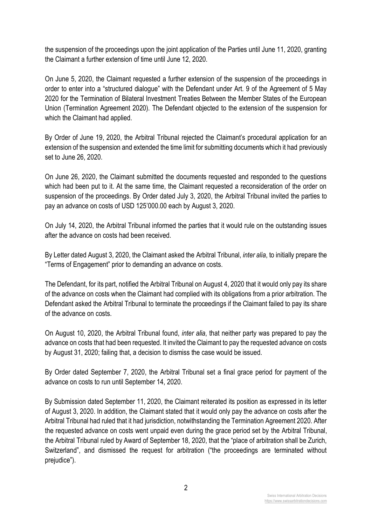the suspension of the proceedings upon the joint application of the Parties until June 11, 2020, granting the Claimant a further extension of time until June 12, 2020.

On June 5, 2020, the Claimant requested a further extension of the suspension of the proceedings in order to enter into a "structured dialogue" with the Defendant under Art. 9 of the Agreement of 5 May 2020 for the Termination of Bilateral Investment Treaties Between the Member States of the European Union (Termination Agreement 2020). The Defendant objected to the extension of the suspension for which the Claimant had applied.

By Order of June 19, 2020, the Arbitral Tribunal rejected the Claimant's procedural application for an extension of the suspension and extended the time limit for submitting documents which it had previously set to June 26, 2020.

On June 26, 2020, the Claimant submitted the documents requested and responded to the questions which had been put to it. At the same time, the Claimant requested a reconsideration of the order on suspension of the proceedings. By Order dated July 3, 2020, the Arbitral Tribunal invited the parties to pay an advance on costs of USD 125'000.00 each by August 3, 2020.

On July 14, 2020, the Arbitral Tribunal informed the parties that it would rule on the outstanding issues after the advance on costs had been received.

By Letter dated August 3, 2020, the Claimant asked the Arbitral Tribunal, *inter alia*, to initially prepare the "Terms of Engagement" prior to demanding an advance on costs.

The Defendant, for its part, notified the Arbitral Tribunal on August 4, 2020 that it would only pay its share of the advance on costs when the Claimant had complied with its obligations from a prior arbitration. The Defendant asked the Arbitral Tribunal to terminate the proceedings if the Claimant failed to pay its share of the advance on costs.

On August 10, 2020, the Arbitral Tribunal found, *inter alia*, that neither party was prepared to pay the advance on costs that had been requested. It invited the Claimant to pay the requested advance on costs by August 31, 2020; failing that, a decision to dismiss the case would be issued.

By Order dated September 7, 2020, the Arbitral Tribunal set a final grace period for payment of the advance on costs to run until September 14, 2020.

By Submission dated September 11, 2020, the Claimant reiterated its position as expressed in its letter of August 3, 2020. In addition, the Claimant stated that it would only pay the advance on costs after the Arbitral Tribunal had ruled that it had jurisdiction, notwithstanding the Termination Agreement 2020. After the requested advance on costs went unpaid even during the grace period set by the Arbitral Tribunal, the Arbitral Tribunal ruled by Award of September 18, 2020, that the "place of arbitration shall be Zurich, Switzerland", and dismissed the request for arbitration ("the proceedings are terminated without prejudice").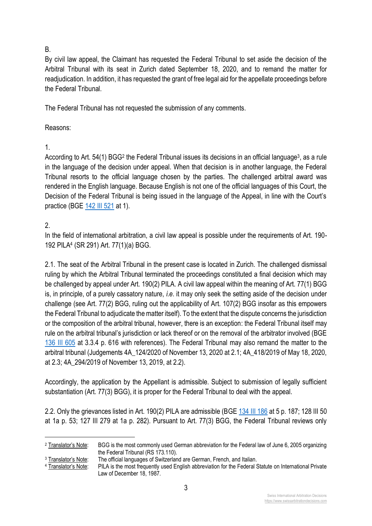### B.

By civil law appeal, the Claimant has requested the Federal Tribunal to set aside the decision of the Arbitral Tribunal with its seat in Zurich dated September 18, 2020, and to remand the matter for readjudication. In addition, it has requested the grant of free legal aid for the appellate proceedings before the Federal Tribunal.

The Federal Tribunal has not requested the submission of any comments.

### Reasons:

## 1.

According to Art. 54(1) BGG<sup>2</sup> the Federal Tribunal issues its decisions in an official language<sup>3</sup>, as a rule in the language of the decision under appeal. When that decision is in another language, the Federal Tribunal resorts to the official language chosen by the parties. The challenged arbitral award was rendered in the English language. Because English is not one of the official languages of this Court, the Decision of the Federal Tribunal is being issued in the language of the Appeal, in line with the Court's practice (BGE [142 III 521](http://www.swissarbitrationdecisions.com/federal-tribunal-upholds-independence-members-cms-network) at 1).

## 2.

In the field of international arbitration, a civil law appeal is possible under the requirements of Art. 190- 192 PILA<sup>4</sup> (SR 291) Art. 77(1)(a) BGG.

2.1. The seat of the Arbitral Tribunal in the present case is located in Zurich. The challenged dismissal ruling by which the Arbitral Tribunal terminated the proceedings constituted a final decision which may be challenged by appeal under Art. 190(2) PILA. A civil law appeal within the meaning of Art. 77(1) BGG is, in principle, of a purely cassatory nature, *i.e*. it may only seek the setting aside of the decision under challenge (see Art. 77(2) BGG, ruling out the applicability of Art. 107(2) BGG insofar as this empowers the Federal Tribunal to adjudicate the matter itself). To the extent that the dispute concerns the jurisdiction or the composition of the arbitral tribunal, however, there is an exception: the Federal Tribunal itself may rule on the arbitral tribunal's jurisdiction or lack thereof or on the removal of the arbitrator involved (BGE [136 III 605](http://www.swissarbitrationdecisions.com/independence-and-impartiality-of-a-party-appointed-arbitrator-in) at 3.3.4 p. 616 with references). The Federal Tribunal may also remand the matter to the arbitral tribunal (Judgements 4A\_124/2020 of November 13, 2020 at 2.1; 4A\_418/2019 of May 18, 2020, at 2.3; 4A\_294/2019 of November 13, 2019, at 2.2).

Accordingly, the application by the Appellant is admissible. Subject to submission of legally sufficient substantiation (Art. 77(3) BGG), it is proper for the Federal Tribunal to deal with the appeal.

2.2. Only the grievances listed in Art. 190(2) PILA are admissible (BGE [134 III 186](http://www.swissarbitrationdecisions.com/right-to-be-heard-equality-between-the-parties) at 5 p. 187; 128 III 50 at 1a p. 53; 127 III 279 at 1a p. 282). Pursuant to Art. 77(3) BGG, the Federal Tribunal reviews only

<sup>4</sup> Translator's Note: PILA is the most frequently used English abbreviation for the Federal Statute on International Private Law of December 18, 1987.

> Swiss International Arbitration Decisions [https://www.swissarbitrationdecisions.com](https://www.swissarbitrationdecisions.com/)

<sup>2</sup> Translator's Note: BGG is the most commonly used German abbreviation for the Federal law of June 6, 2005 organizing the Federal Tribunal (RS 173.110).

<sup>&</sup>lt;sup>3</sup> Translator's Note: The official languages of Switzerland are German, French, and Italian.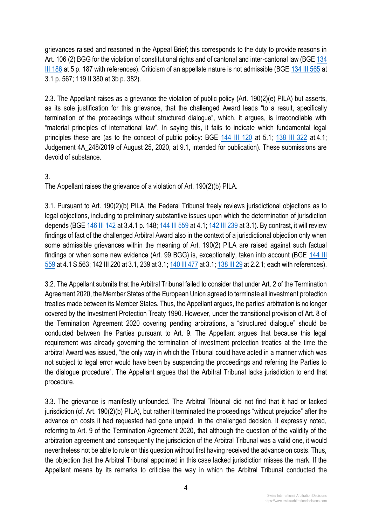grievances raised and reasoned in the Appeal Brief; this corresponds to the duty to provide reasons in Art. 106 (2) BGG for the violation of constitutional rights and of cantonal and inter-cantonal law (BGE 134 [III 186](http://www.swissarbitrationdecisions.com/right-to-be-heard-equality-between-the-parties) at 5 p. 187 with references). Criticism of an appellate nature is not admissible (BGE [134 III 565](http://www.swissarbitrationdecisions.com/extension-of-arbitration-clause-to-non-signatories-case-of-a-gua) at 3.1 p. 567; 119 II 380 at 3b p. 382).

2.3. The Appellant raises as a grievance the violation of public policy (Art. 190(2)(e) PILA) but asserts, as its sole justification for this grievance, that the challenged Award leads "to a result, specifically termination of the proceedings without structured dialogue", which, it argues, is irreconcilable with "material principles of international law". In saying this, it fails to indicate which fundamental legal principles these are (as to the concept of public policy: BGE [144 III 120](https://www.swissarbitrationdecisions.com/atf-4a-260-2017) at 5.1; [138 III 322](http://www.swissarbitrationdecisions.com/landmark-decision-of-the-swiss-supreme-court-international-arbit) at.4.1; Judgement 4A\_248/2019 of August 25, 2020, at 9.1, intended for publication). These submissions are devoid of substance.

#### 3.

The Appellant raises the grievance of a violation of Art. 190(2)(b) PILA.

3.1. Pursuant to Art. 190(2)(b) PILA, the Federal Tribunal freely reviews jurisdictional objections as to legal objections, including to preliminary substantive issues upon which the determination of jurisdiction depends (BGE [146 III](https://www.swissarbitrationdecisions.com/atf-4a-306-2019) 142 at 3.4.1 p. 148; [144 III 559](http://www.swissarbitrationdecisions.com/atf-4a-396-2017-2) at 4.1; [142 III 239](http://www.swissarbitrationdecisions.com/unsigned-arbitration-clause-upheld) at 3.1). By contrast, it will review findings of fact of the challenged Arbitral Award also in the context of a jurisdictional objection only when some admissible grievances within the meaning of Art. 190(2) PILA are raised against such factual findings or when some new evidence (Art. 99 BGG) is, exceptionally, taken into account (BGE [144 III](http://www.swissarbitrationdecisions.com/atf-4a-396-2017-2)  [559](http://www.swissarbitrationdecisions.com/atf-4a-396-2017-2) at 4.1 S.563; 142 III 220 at 3.1, 239 at 3.1[; 140 III 477](http://www.swissarbitrationdecisions.com/arbitration-clause-not-rescinded-subsequent-) at 3.1[; 138 III 29](http://www.swissarbitrationdecisions.com/jurisdiction-of-the-cas-upheld-a-pathological-clause-has-to-be-s) at 2.2.1; each with references).

3.2. The Appellant submits that the Arbitral Tribunal failed to consider that under Art. 2 of the Termination Agreement 2020, the Member States of the European Union agreed to terminate all investment protection treaties made between its Member States. Thus, the Appellant argues, the parties' arbitration is no longer covered by the Investment Protection Treaty 1990. However, under the transitional provision of Art. 8 of the Termination Agreement 2020 covering pending arbitrations, a "structured dialogue" should be conducted between the Parties pursuant to Art. 9. The Appellant argues that because this legal requirement was already governing the termination of investment protection treaties at the time the arbitral Award was issued, "the only way in which the Tribunal could have acted in a manner which was not subject to legal error would have been by suspending the proceedings and referring the Parties to the dialogue procedure". The Appellant argues that the Arbitral Tribunal lacks jurisdiction to end that procedure.

3.3. The grievance is manifestly unfounded. The Arbitral Tribunal did not find that it had or lacked jurisdiction (cf. Art. 190(2)(b) PILA), but rather it terminated the proceedings "without prejudice" after the advance on costs it had requested had gone unpaid. In the challenged decision, it expressly noted, referring to Art. 9 of the Termination Agreement 2020, that although the question of the validity of the arbitration agreement and consequently the jurisdiction of the Arbitral Tribunal was a valid one, it would nevertheless not be able to rule on this question without first having received the advance on costs. Thus, the objection that the Arbitral Tribunal appointed in this case lacked jurisdiction misses the mark. If the Appellant means by its remarks to criticise the way in which the Arbitral Tribunal conducted the